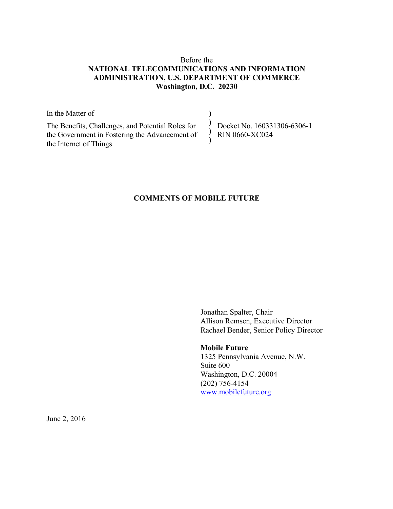# Before the **NATIONAL TELECOMMUNICATIONS AND INFORMATION ADMINISTRATION, U.S. DEPARTMENT OF COMMERCE Washington, D.C. 20230**

In the Matter of The Benefits, Challenges, and Potential Roles for the Government in Fostering the Advancement of the Internet of Things **) ) ) )** Docket No. 160331306-6306-1 RIN 0660-XC024

# **COMMENTS OF MOBILE FUTURE**

 Jonathan Spalter, Chair Allison Remsen, Executive Director Rachael Bender, Senior Policy Director

# **Mobile Future**

 1325 Pennsylvania Avenue, N.W. Suite 600 Washington, D.C. 20004 (202) 756-4154 www.mobilefuture.org

June 2, 2016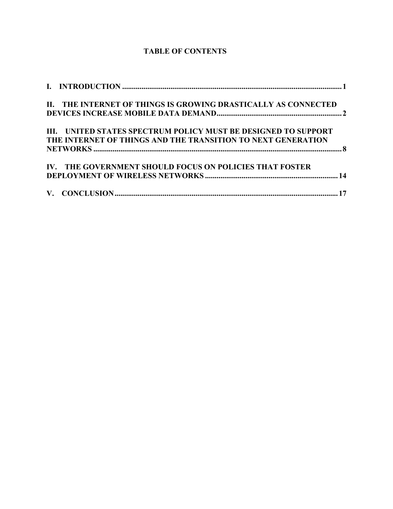# **TABLE OF CONTENTS**

| II. THE INTERNET OF THINGS IS GROWING DRASTICALLY AS CONNECTED |  |
|----------------------------------------------------------------|--|
|                                                                |  |
| III. UNITED STATES SPECTRUM POLICY MUST BE DESIGNED TO SUPPORT |  |
| THE INTERNET OF THINGS AND THE TRANSITION TO NEXT GENERATION   |  |
|                                                                |  |
| IV. THE GOVERNMENT SHOULD FOCUS ON POLICIES THAT FOSTER        |  |
|                                                                |  |
|                                                                |  |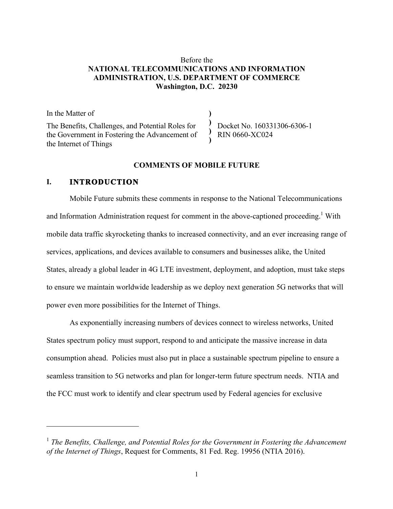# Before the **NATIONAL TELECOMMUNICATIONS AND INFORMATION ADMINISTRATION, U.S. DEPARTMENT OF COMMERCE Washington, D.C. 20230**

**) ) ) )**

In the Matter of The Benefits, Challenges, and Potential Roles for the Government in Fostering the Advancement of the Internet of Things

Docket No. 160331306-6306-1 RIN 0660-XC024

#### **COMMENTS OF MOBILE FUTURE**

# **I. INTRODUCTION**

l

Mobile Future submits these comments in response to the National Telecommunications and Information Administration request for comment in the above-captioned proceeding.<sup>1</sup> With mobile data traffic skyrocketing thanks to increased connectivity, and an ever increasing range of services, applications, and devices available to consumers and businesses alike, the United States, already a global leader in 4G LTE investment, deployment, and adoption, must take steps to ensure we maintain worldwide leadership as we deploy next generation 5G networks that will power even more possibilities for the Internet of Things.

As exponentially increasing numbers of devices connect to wireless networks, United States spectrum policy must support, respond to and anticipate the massive increase in data consumption ahead. Policies must also put in place a sustainable spectrum pipeline to ensure a seamless transition to 5G networks and plan for longer-term future spectrum needs. NTIA and the FCC must work to identify and clear spectrum used by Federal agencies for exclusive

<sup>1</sup> *The Benefits, Challenge, and Potential Roles for the Government in Fostering the Advancement of the Internet of Things*, Request for Comments, 81 Fed. Reg. 19956 (NTIA 2016).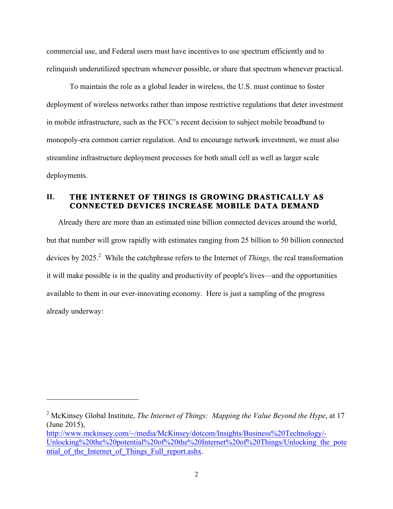commercial use, and Federal users must have incentives to use spectrum efficiently and to relinquish underutilized spectrum whenever possible, or share that spectrum whenever practical.

To maintain the role as a global leader in wireless, the U.S. must continue to foster deployment of wireless networks rather than impose restrictive regulations that deter investment in mobile infrastructure, such as the FCC's recent decision to subject mobile broadband to monopoly-era common carrier regulation. And to encourage network investment, we must also streamline infrastructure deployment processes for both small cell as well as larger scale deployments.

# **II. THE INTERNET OF THINGS IS GROWING DRASTICALLY AS CONNECTED DEVICES INCREASE MOBILE DATA DEMAND**

Already there are more than an estimated nine billion connected devices around the world, but that number will grow rapidly with estimates ranging from 25 billion to 50 billion connected devices by 2025.<sup>2</sup> While the catchphrase refers to the Internet of *Things*, the real transformation it will make possible is in the quality and productivity of people's lives—and the opportunities available to them in our ever-innovating economy. Here is just a sampling of the progress already underway:

<sup>2</sup> McKinsey Global Institute, *The Internet of Things: Mapping the Value Beyond the Hype*, at 17 (June 2015),

http://www.mckinsey.com/~/media/McKinsey/dotcom/Insights/Business%20Technology/- Unlocking%20the%20potential%20of%20the%20Internet%20of%20Things/Unlocking\_the\_pote ntial of the Internet of Things Full report.ashx.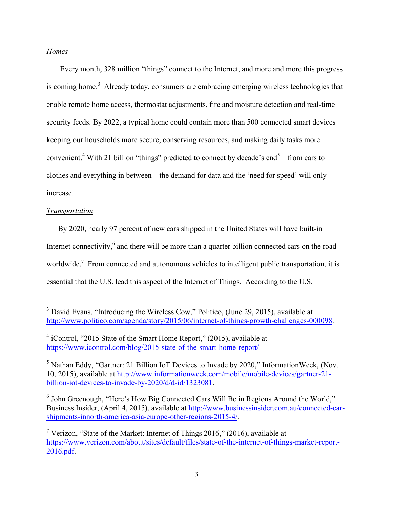### *Homes*

Every month, 328 million "things" connect to the Internet, and more and more this progress is coming home.<sup>3</sup> Already today, consumers are embracing emerging wireless technologies that enable remote home access, thermostat adjustments, fire and moisture detection and real-time security feeds. By 2022, a typical home could contain more than 500 connected smart devices keeping our households more secure, conserving resources, and making daily tasks more convenient.<sup>4</sup> With 21 billion "things" predicted to connect by decade's end<sup>5</sup>—from cars to clothes and everything in between—the demand for data and the 'need for speed' will only increase.

#### *Transportation*

 $\overline{a}$ 

By 2020, nearly 97 percent of new cars shipped in the United States will have built-in Internet connectivity, $6$  and there will be more than a quarter billion connected cars on the road worldwide.<sup>7</sup> From connected and autonomous vehicles to intelligent public transportation, it is essential that the U.S. lead this aspect of the Internet of Things. According to the U.S.

<sup>&</sup>lt;sup>3</sup> David Evans, "Introducing the Wireless Cow," Politico, (June 29, 2015), available at http://www.politico.com/agenda/story/2015/06/internet-of-things-growth-challenges-000098.

 $4$  iControl, "2015 State of the Smart Home Report," (2015), available at https://www.icontrol.com/blog/2015-state-of-the-smart-home-report/

<sup>5</sup> Nathan Eddy, "Gartner: 21 Billion IoT Devices to Invade by 2020," InformationWeek, (Nov. 10, 2015), available at http://www.informationweek.com/mobile/mobile-devices/gartner-21 billion-iot-devices-to-invade-by-2020/d/d-id/1323081.

<sup>&</sup>lt;sup>6</sup> John Greenough, "Here's How Big Connected Cars Will Be in Regions Around the World," Business Insider, (April 4, 2015), available at http://www.businessinsider.com.au/connected-carshipments-innorth-america-asia-europe-other-regions-2015-4/.

<sup>&</sup>lt;sup>7</sup> Verizon, "State of the Market: Internet of Things 2016," (2016), available at https://www.verizon.com/about/sites/default/files/state-of-the-internet-of-things-market-report-2016.pdf.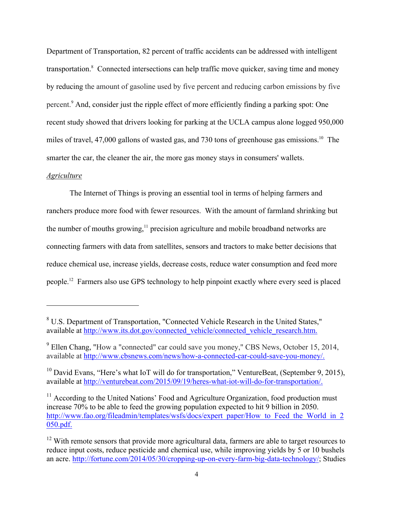Department of Transportation, 82 percent of traffic accidents can be addressed with intelligent transportation.<sup>8</sup> Connected intersections can help traffic move quicker, saving time and money by reducing the amount of gasoline used by five percent and reducing carbon emissions by five percent.9 And, consider just the ripple effect of more efficiently finding a parking spot: One recent study showed that drivers looking for parking at the UCLA campus alone logged 950,000 miles of travel, 47,000 gallons of wasted gas, and 730 tons of greenhouse gas emissions.<sup>10</sup> The smarter the car, the cleaner the air, the more gas money stays in consumers' wallets.

### *Agriculture*

l

The Internet of Things is proving an essential tool in terms of helping farmers and ranchers produce more food with fewer resources. With the amount of farmland shrinking but the number of mouths growing, $\frac{11}{11}$  precision agriculture and mobile broadband networks are connecting farmers with data from satellites, sensors and tractors to make better decisions that reduce chemical use, increase yields, decrease costs, reduce water consumption and feed more people.12 Farmers also use GPS technology to help pinpoint exactly where every seed is placed

<sup>8</sup> U.S. Department of Transportation, "Connected Vehicle Research in the United States," available at http://www.its.dot.gov/connected\_vehicle/connected\_vehicle\_research.htm.

<sup>9</sup> Ellen Chang, "How a "connected" car could save you money," CBS News, October 15, 2014, available at http://www.cbsnews.com/news/how-a-connected-car-could-save-you-money/.

<sup>&</sup>lt;sup>10</sup> David Evans, "Here's what IoT will do for transportation," VentureBeat, (September 9, 2015), available at http://venturebeat.com/2015/09/19/heres-what-iot-will-do-for-transportation/.

 $11$  According to the United Nations' Food and Agriculture Organization, food production must increase 70% to be able to feed the growing population expected to hit 9 billion in 2050. http://www.fao.org/fileadmin/templates/wsfs/docs/expert\_paper/How\_to\_Feed\_the\_World\_in\_2 050.pdf.

 $12$  With remote sensors that provide more agricultural data, farmers are able to target resources to reduce input costs, reduce pesticide and chemical use, while improving yields by 5 or 10 bushels an acre. http://fortune.com/2014/05/30/cropping-up-on-every-farm-big-data-technology/; Studies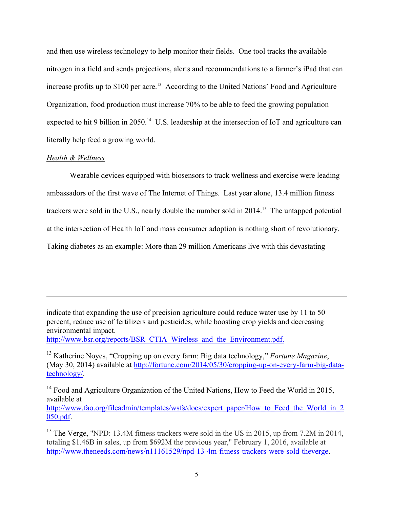and then use wireless technology to help monitor their fields. One tool tracks the available nitrogen in a field and sends projections, alerts and recommendations to a farmer's iPad that can increase profits up to  $$100$  per acre.<sup>13</sup> According to the United Nations' Food and Agriculture Organization, food production must increase 70% to be able to feed the growing population expected to hit 9 billion in 2050.<sup>14</sup> U.S. leadership at the intersection of IoT and agriculture can literally help feed a growing world.

#### *Health & Wellness*

l

Wearable devices equipped with biosensors to track wellness and exercise were leading ambassadors of the first wave of The Internet of Things. Last year alone, 13.4 million fitness trackers were sold in the U.S., nearly double the number sold in 2014.<sup>15</sup> The untapped potential at the intersection of Health IoT and mass consumer adoption is nothing short of revolutionary. Taking diabetes as an example: More than 29 million Americans live with this devastating

indicate that expanding the use of precision agriculture could reduce water use by 11 to 50 percent, reduce use of fertilizers and pesticides, while boosting crop yields and decreasing environmental impact.

http://www.bsr.org/reports/BSR\_CTIA\_Wireless\_and\_the\_Environment.pdf.

<sup>14</sup> Food and Agriculture Organization of the United Nations, How to Feed the World in 2015, available at http://www.fao.org/fileadmin/templates/wsfs/docs/expert\_paper/How\_to\_Feed\_the\_World\_in\_2 050.pdf.

<sup>13</sup> Katherine Noyes, "Cropping up on every farm: Big data technology," *Fortune Magazine*, (May 30, 2014) available at http://fortune.com/2014/05/30/cropping-up-on-every-farm-big-datatechnology/.

<sup>&</sup>lt;sup>15</sup> The Verge, "NPD: 13.4M fitness trackers were sold in the US in 2015, up from 7.2M in 2014, totaling \$1.46B in sales, up from \$692M the previous year," February 1, 2016, available at http://www.theneeds.com/news/n11161529/npd-13-4m-fitness-trackers-were-sold-theverge.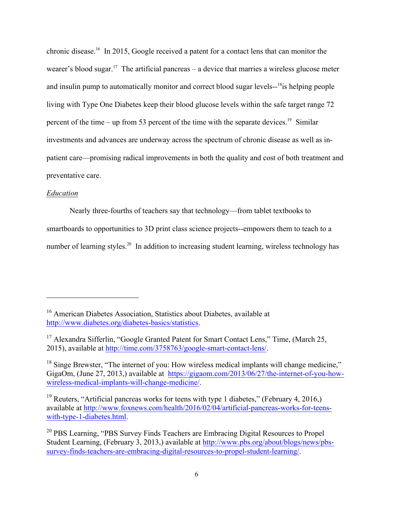chronic disease.16 In 2015, Google received a patent for a contact lens that can monitor the wearer's blood sugar.<sup>17</sup> The artificial pancreas – a device that marries a wireless glucose meter and insulin pump to automatically monitor and correct blood sugar levels--<sup>18</sup>is helping people living with Type One Diabetes keep their blood glucose levels within the safe target range 72 percent of the time – up from 53 percent of the time with the separate devices.<sup>19</sup> Similar investments and advances are underway across the spectrum of chronic disease as well as inpatient care—promising radical improvements in both the quality and cost of both treatment and preventative care.

### *Education*

l

Nearly three-fourths of teachers say that technology—from tablet textbooks to

smartboards to opportunities to 3D print class science projects--empowers them to teach to a

number of learning styles.<sup>20</sup> In addition to increasing student learning, wireless technology has

<sup>&</sup>lt;sup>16</sup> American Diabetes Association, Statistics about Diabetes, available at http://www.diabetes.org/diabetes-basics/statistics.

<sup>&</sup>lt;sup>17</sup> Alexandra Sifferlin, "Google Granted Patent for Smart Contact Lens," Time, (March 25, 2015), available at http://time.com/3758763/google-smart-contact-lens/.

 $18$  Singe Brewster, "The internet of you: How wireless medical implants will change medicine." GigaOm, (June 27, 2013,) available at https://gigaom.com/2013/06/27/the-internet-of-you-howwireless-medical-implants-will-change-medicine/.

<sup>&</sup>lt;sup>19</sup> Reuters, "Artificial pancreas works for teens with type 1 diabetes," (February 4, 2016,) available at http://www.foxnews.com/health/2016/02/04/artificial-pancreas-works-for-teenswith-type-1-diabetes.html.

<sup>&</sup>lt;sup>20</sup> PBS Learning, "PBS Survey Finds Teachers are Embracing Digital Resources to Propel Student Learning, (February 3, 2013,) available at http://www.pbs.org/about/blogs/news/pbssurvey-finds-teachers-are-embracing-digital-resources-to-propel-student-learning/.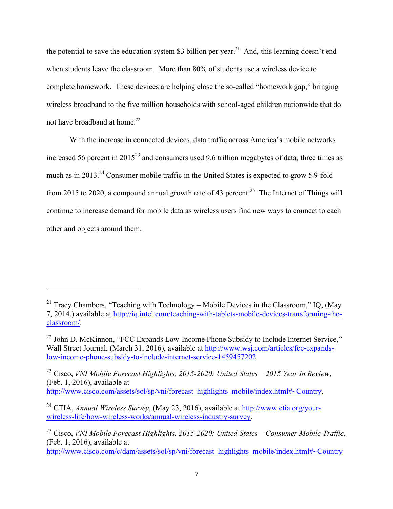the potential to save the education system \$3 billion per year.<sup>21</sup> And, this learning doesn't end when students leave the classroom. More than 80% of students use a wireless device to complete homework. These devices are helping close the so-called "homework gap," bringing wireless broadband to the five million households with school-aged children nationwide that do not have broadband at home.<sup>22</sup>

With the increase in connected devices, data traffic across America's mobile networks increased 56 percent in  $2015^{23}$  and consumers used 9.6 trillion megabytes of data, three times as much as in 2013.<sup>24</sup> Consumer mobile traffic in the United States is expected to grow 5.9-fold from 2015 to 2020, a compound annual growth rate of 43 percent.<sup>25</sup> The Internet of Things will continue to increase demand for mobile data as wireless users find new ways to connect to each other and objects around them.

l

<sup>23</sup> Cisco, *VNI Mobile Forecast Highlights, 2015-2020: United States – 2015 Year in Review*, (Feb. 1, 2016), available at http://www.cisco.com/assets/sol/sp/vni/forecast\_highlights\_mobile/index.html#~Country.

<sup>&</sup>lt;sup>21</sup> Tracy Chambers, "Teaching with Technology – Mobile Devices in the Classroom," IQ, (May 7, 2014,) available at http://iq.intel.com/teaching-with-tablets-mobile-devices-transforming-theclassroom/.

<sup>&</sup>lt;sup>22</sup> John D. McKinnon, "FCC Expands Low-Income Phone Subsidy to Include Internet Service." Wall Street Journal, (March 31, 2016), available at http://www.wsj.com/articles/fcc-expandslow-income-phone-subsidy-to-include-internet-service-1459457202

<sup>24</sup> CTIA, *Annual Wireless Survey*, (May 23, 2016), available at http://www.ctia.org/yourwireless-life/how-wireless-works/annual-wireless-industry-survey.

<sup>25</sup> Cisco, *VNI Mobile Forecast Highlights, 2015-2020: United States – Consumer Mobile Traffic*, (Feb. 1, 2016), available at

http://www.cisco.com/c/dam/assets/sol/sp/vni/forecast\_highlights\_mobile/index.html#~Country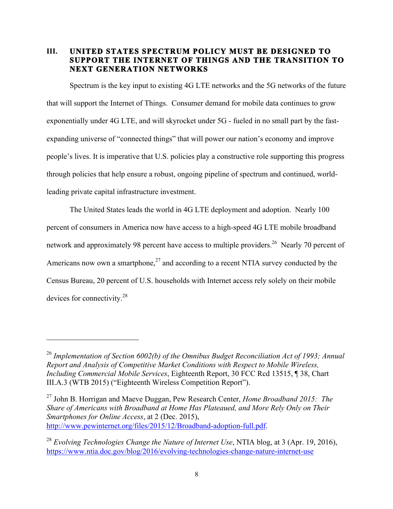# **III. UNITED STATES SPECTRUM POLICY MUST BE DESIGNED TO SUPPORT THE INTERNET OF THINGS AND THE TRANSITION TO NEXT GENERATION NETWORKS**

Spectrum is the key input to existing 4G LTE networks and the 5G networks of the future that will support the Internet of Things. Consumer demand for mobile data continues to grow exponentially under 4G LTE, and will skyrocket under 5G - fueled in no small part by the fastexpanding universe of "connected things" that will power our nation's economy and improve people's lives. It is imperative that U.S. policies play a constructive role supporting this progress through policies that help ensure a robust, ongoing pipeline of spectrum and continued, worldleading private capital infrastructure investment.

The United States leads the world in 4G LTE deployment and adoption. Nearly 100 percent of consumers in America now have access to a high-speed 4G LTE mobile broadband network and approximately 98 percent have access to multiple providers.<sup>26</sup> Nearly 70 percent of Americans now own a smartphone,<sup>27</sup> and according to a recent NTIA survey conducted by the Census Bureau, 20 percent of U.S. households with Internet access rely solely on their mobile devices for connectivity.28

 $\overline{a}$ 

<sup>26</sup> *Implementation of Section 6002(b) of the Omnibus Budget Reconciliation Act of 1993; Annual Report and Analysis of Competitive Market Conditions with Respect to Mobile Wireless, Including Commercial Mobile Services*, Eighteenth Report, 30 FCC Rcd 13515, ¶ 38, Chart III.A.3 (WTB 2015) ("Eighteenth Wireless Competition Report").

<sup>27</sup> John B. Horrigan and Maeve Duggan, Pew Research Center, *Home Broadband 2015: The Share of Americans with Broadband at Home Has Plateaued, and More Rely Only on Their Smartphones for Online Access*, at 2 (Dec. 2015), http://www.pewinternet.org/files/2015/12/Broadband-adoption-full.pdf.

<sup>28</sup> *Evolving Technologies Change the Nature of Internet Use*, NTIA blog, at 3 (Apr. 19, 2016), https://www.ntia.doc.gov/blog/2016/evolving-technologies-change-nature-internet-use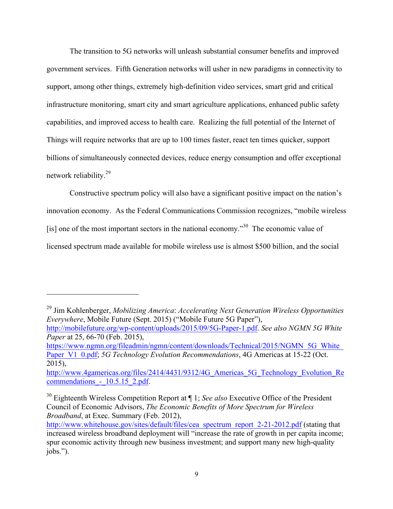The transition to 5G networks will unleash substantial consumer benefits and improved government services. Fifth Generation networks will usher in new paradigms in connectivity to support, among other things, extremely high-definition video services, smart grid and critical infrastructure monitoring, smart city and smart agriculture applications, enhanced public safety capabilities, and improved access to health care. Realizing the full potential of the Internet of Things will require networks that are up to 100 times faster, react ten times quicker, support billions of simultaneously connected devices, reduce energy consumption and offer exceptional network reliability.<sup>29</sup>

Constructive spectrum policy will also have a significant positive impact on the nation's innovation economy. As the Federal Communications Commission recognizes, "mobile wireless [is] one of the most important sectors in the national economy.<sup> $30$ </sup> The economic value of licensed spectrum made available for mobile wireless use is almost \$500 billion, and the social

<sup>29</sup> Jim Kohlenberger, *Mobilizing America*: *Accelerating Next Generation Wireless Opportunities Everywhere*, Mobile Future (Sept. 2015) ("Mobile Future 5G Paper"),

 $\overline{a}$ 

https://www.ngmn.org/fileadmin/ngmn/content/downloads/Technical/2015/NGMN\_5G\_White\_ Paper\_V1\_0.pdf; *5G Technology Evolution Recommendations*, 4G Americas at 15-22 (Oct. 2015),

http://mobilefuture.org/wp-content/uploads/2015/09/5G-Paper-1.pdf. *See also NGMN 5G White Paper* at 25, 66-70 (Feb. 2015),

http://www.4gamericas.org/files/2414/4431/9312/4G Americas 5G Technology Evolution Re commendations - 10.5.15 2.pdf.

<sup>30</sup> Eighteenth Wireless Competition Report at ¶ 1; *See also* Executive Office of the President Council of Economic Advisors, *The Economic Benefits of More Spectrum for Wireless Broadband*, at Exec. Summary (Feb. 2012),

http://www.whitehouse.gov/sites/default/files/cea\_spectrum\_report\_2-21-2012.pdf (stating that increased wireless broadband deployment will "increase the rate of growth in per capita income; spur economic activity through new business investment; and support many new high-quality jobs.").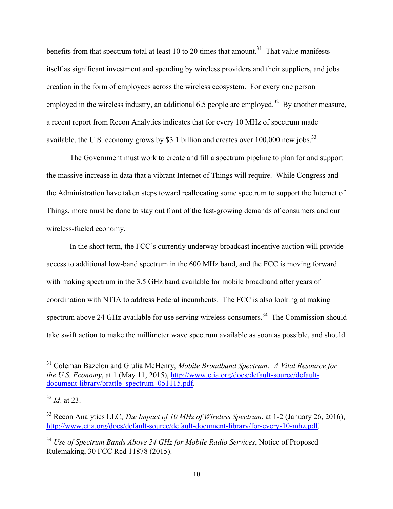benefits from that spectrum total at least 10 to 20 times that amount.<sup>31</sup> That value manifests itself as significant investment and spending by wireless providers and their suppliers, and jobs creation in the form of employees across the wireless ecosystem. For every one person employed in the wireless industry, an additional 6.5 people are employed.<sup>32</sup> By another measure, a recent report from Recon Analytics indicates that for every 10 MHz of spectrum made available, the U.S. economy grows by \$3.1 billion and creates over 100,000 new jobs.<sup>33</sup>

The Government must work to create and fill a spectrum pipeline to plan for and support the massive increase in data that a vibrant Internet of Things will require. While Congress and the Administration have taken steps toward reallocating some spectrum to support the Internet of Things, more must be done to stay out front of the fast-growing demands of consumers and our wireless-fueled economy.

In the short term, the FCC's currently underway broadcast incentive auction will provide access to additional low-band spectrum in the 600 MHz band, and the FCC is moving forward with making spectrum in the 3.5 GHz band available for mobile broadband after years of coordination with NTIA to address Federal incumbents. The FCC is also looking at making spectrum above 24 GHz available for use serving wireless consumers.<sup>34</sup> The Commission should take swift action to make the millimeter wave spectrum available as soon as possible, and should

<sup>31</sup> Coleman Bazelon and Giulia McHenry, *Mobile Broadband Spectrum: A Vital Resource for the U.S. Economy*, at 1 (May 11, 2015), http://www.ctia.org/docs/default-source/defaultdocument-library/brattle\_spectrum\_051115.pdf.

<sup>32</sup> *Id*. at 23.

<sup>33</sup> Recon Analytics LLC, *The Impact of 10 MHz of Wireless Spectrum*, at 1-2 (January 26, 2016), http://www.ctia.org/docs/default-source/default-document-library/for-every-10-mhz.pdf.

<sup>34</sup> *Use of Spectrum Bands Above 24 GHz for Mobile Radio Services*, Notice of Proposed Rulemaking, 30 FCC Rcd 11878 (2015).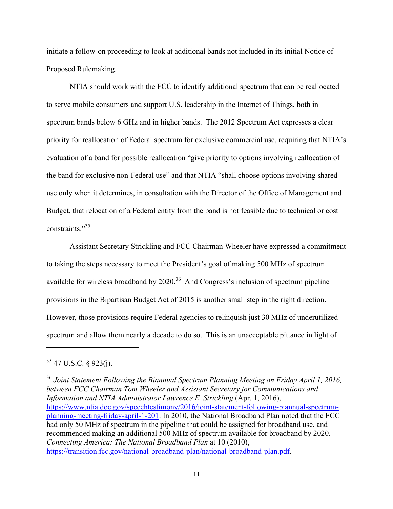initiate a follow-on proceeding to look at additional bands not included in its initial Notice of Proposed Rulemaking.

NTIA should work with the FCC to identify additional spectrum that can be reallocated to serve mobile consumers and support U.S. leadership in the Internet of Things, both in spectrum bands below 6 GHz and in higher bands. The 2012 Spectrum Act expresses a clear priority for reallocation of Federal spectrum for exclusive commercial use, requiring that NTIA's evaluation of a band for possible reallocation "give priority to options involving reallocation of the band for exclusive non-Federal use" and that NTIA "shall choose options involving shared use only when it determines, in consultation with the Director of the Office of Management and Budget, that relocation of a Federal entity from the band is not feasible due to technical or cost constraints."35

Assistant Secretary Strickling and FCC Chairman Wheeler have expressed a commitment to taking the steps necessary to meet the President's goal of making 500 MHz of spectrum available for wireless broadband by  $2020$ .<sup>36</sup> And Congress's inclusion of spectrum pipeline provisions in the Bipartisan Budget Act of 2015 is another small step in the right direction. However, those provisions require Federal agencies to relinquish just 30 MHz of underutilized spectrum and allow them nearly a decade to do so. This is an unacceptable pittance in light of

 $\overline{a}$ 

<sup>36</sup> *Joint Statement Following the Biannual Spectrum Planning Meeting on Friday April 1, 2016, between FCC Chairman Tom Wheeler and Assistant Secretary for Communications and Information and NTIA Administrator Lawrence E. Strickling* (Apr. 1, 2016), https://www.ntia.doc.gov/speechtestimony/2016/joint-statement-following-biannual-spectrumplanning-meeting-friday-april-1-201. In 2010, the National Broadband Plan noted that the FCC had only 50 MHz of spectrum in the pipeline that could be assigned for broadband use, and recommended making an additional 500 MHz of spectrum available for broadband by 2020. *Connecting America: The National Broadband Plan* at 10 (2010), https://transition.fcc.gov/national-broadband-plan/national-broadband-plan.pdf.

 $35$  47 U.S.C. § 923(j).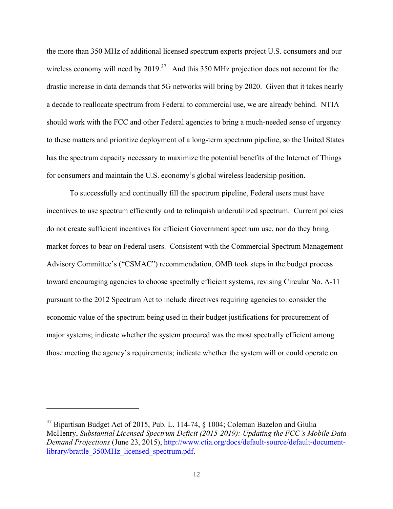the more than 350 MHz of additional licensed spectrum experts project U.S. consumers and our wireless economy will need by 2019.<sup>37</sup> And this 350 MHz projection does not account for the drastic increase in data demands that 5G networks will bring by 2020. Given that it takes nearly a decade to reallocate spectrum from Federal to commercial use, we are already behind. NTIA should work with the FCC and other Federal agencies to bring a much-needed sense of urgency to these matters and prioritize deployment of a long-term spectrum pipeline, so the United States has the spectrum capacity necessary to maximize the potential benefits of the Internet of Things for consumers and maintain the U.S. economy's global wireless leadership position.

To successfully and continually fill the spectrum pipeline, Federal users must have incentives to use spectrum efficiently and to relinquish underutilized spectrum. Current policies do not create sufficient incentives for efficient Government spectrum use, nor do they bring market forces to bear on Federal users. Consistent with the Commercial Spectrum Management Advisory Committee's ("CSMAC") recommendation, OMB took steps in the budget process toward encouraging agencies to choose spectrally efficient systems, revising Circular No. A-11 pursuant to the 2012 Spectrum Act to include directives requiring agencies to: consider the economic value of the spectrum being used in their budget justifications for procurement of major systems; indicate whether the system procured was the most spectrally efficient among those meeting the agency's requirements; indicate whether the system will or could operate on

<sup>&</sup>lt;sup>37</sup> Bipartisan Budget Act of 2015, Pub. L. 114-74, § 1004; Coleman Bazelon and Giulia McHenry, *Substantial Licensed Spectrum Deficit (2015-2019): Updating the FCC's Mobile Data Demand Projections* (June 23, 2015), http://www.ctia.org/docs/default-source/default-documentlibrary/brattle\_350MHz\_licensed\_spectrum.pdf.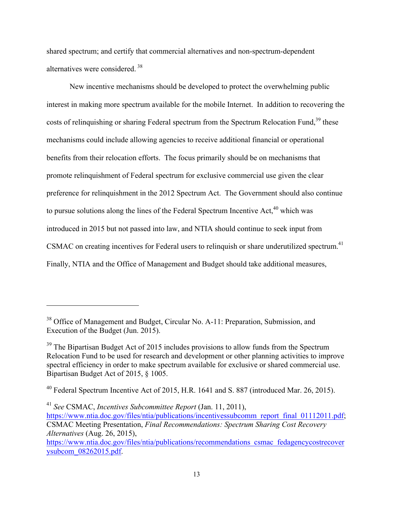shared spectrum; and certify that commercial alternatives and non-spectrum-dependent alternatives were considered <sup>38</sup>

New incentive mechanisms should be developed to protect the overwhelming public interest in making more spectrum available for the mobile Internet. In addition to recovering the costs of relinquishing or sharing Federal spectrum from the Spectrum Relocation Fund,<sup>39</sup> these mechanisms could include allowing agencies to receive additional financial or operational benefits from their relocation efforts. The focus primarily should be on mechanisms that promote relinquishment of Federal spectrum for exclusive commercial use given the clear preference for relinquishment in the 2012 Spectrum Act. The Government should also continue to pursue solutions along the lines of the Federal Spectrum Incentive  $Act<sub>1</sub><sup>40</sup>$  which was introduced in 2015 but not passed into law, and NTIA should continue to seek input from CSMAC on creating incentives for Federal users to relinquish or share underutilized spectrum.<sup>41</sup> Finally, NTIA and the Office of Management and Budget should take additional measures,

<sup>41</sup> *See* CSMAC, *Incentives Subcommittee Report* (Jan. 11, 2011),

<sup>&</sup>lt;sup>38</sup> Office of Management and Budget, Circular No. A-11: Preparation, Submission, and Execution of the Budget (Jun. 2015).

 $39$  The Bipartisan Budget Act of 2015 includes provisions to allow funds from the Spectrum Relocation Fund to be used for research and development or other planning activities to improve spectral efficiency in order to make spectrum available for exclusive or shared commercial use. Bipartisan Budget Act of 2015, § 1005.

<sup>40</sup> Federal Spectrum Incentive Act of 2015, H.R. 1641 and S. 887 (introduced Mar. 26, 2015).

https://www.ntia.doc.gov/files/ntia/publications/incentivessubcomm\_report\_final\_01112011.pdf; CSMAC Meeting Presentation, *Final Recommendations: Spectrum Sharing Cost Recovery Alternatives* (Aug. 26, 2015),

https://www.ntia.doc.gov/files/ntia/publications/recommendations\_csmac\_fedagencycostrecover ysubcom\_08262015.pdf.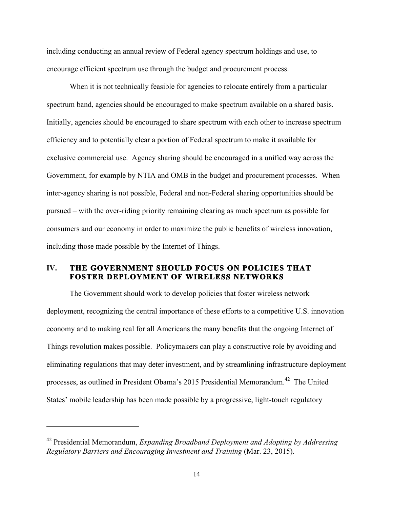including conducting an annual review of Federal agency spectrum holdings and use, to encourage efficient spectrum use through the budget and procurement process.

When it is not technically feasible for agencies to relocate entirely from a particular spectrum band, agencies should be encouraged to make spectrum available on a shared basis. Initially, agencies should be encouraged to share spectrum with each other to increase spectrum efficiency and to potentially clear a portion of Federal spectrum to make it available for exclusive commercial use. Agency sharing should be encouraged in a unified way across the Government, for example by NTIA and OMB in the budget and procurement processes. When inter-agency sharing is not possible, Federal and non-Federal sharing opportunities should be pursued – with the over-riding priority remaining clearing as much spectrum as possible for consumers and our economy in order to maximize the public benefits of wireless innovation, including those made possible by the Internet of Things.

# **IV. THE GOVERNMENT SHOULD FOCUS ON POLICIES THAT FOSTER DEPLOYMENT OF WIRELESS NETWORKS**

The Government should work to develop policies that foster wireless network deployment, recognizing the central importance of these efforts to a competitive U.S. innovation economy and to making real for all Americans the many benefits that the ongoing Internet of Things revolution makes possible. Policymakers can play a constructive role by avoiding and eliminating regulations that may deter investment, and by streamlining infrastructure deployment processes, as outlined in President Obama's 2015 Presidential Memorandum.<sup>42</sup> The United States' mobile leadership has been made possible by a progressive, light-touch regulatory

<sup>42</sup> Presidential Memorandum, *Expanding Broadband Deployment and Adopting by Addressing Regulatory Barriers and Encouraging Investment and Training* (Mar. 23, 2015).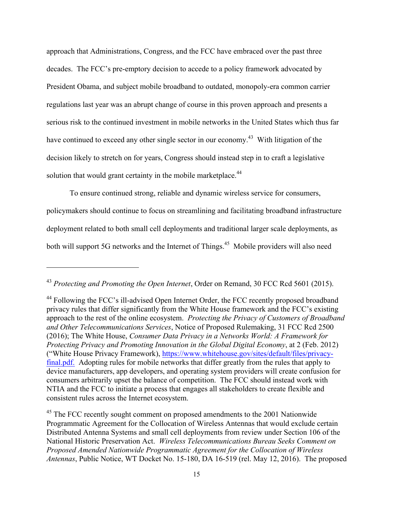approach that Administrations, Congress, and the FCC have embraced over the past three decades. The FCC's pre-emptory decision to accede to a policy framework advocated by President Obama, and subject mobile broadband to outdated, monopoly-era common carrier regulations last year was an abrupt change of course in this proven approach and presents a serious risk to the continued investment in mobile networks in the United States which thus far have continued to exceed any other single sector in our economy.<sup>43</sup> With litigation of the decision likely to stretch on for years, Congress should instead step in to craft a legislative solution that would grant certainty in the mobile marketplace.<sup>44</sup>

To ensure continued strong, reliable and dynamic wireless service for consumers, policymakers should continue to focus on streamlining and facilitating broadband infrastructure deployment related to both small cell deployments and traditional larger scale deployments, as both will support 5G networks and the Internet of Things.<sup>45</sup> Mobile providers will also need

<sup>43</sup> *Protecting and Promoting the Open Internet*, Order on Remand, 30 FCC Rcd 5601 (2015).

<sup>&</sup>lt;sup>44</sup> Following the FCC's ill-advised Open Internet Order, the FCC recently proposed broadband privacy rules that differ significantly from the White House framework and the FCC's existing approach to the rest of the online ecosystem. *Protecting the Privacy of Customers of Broadband and Other Telecommunications Services*, Notice of Proposed Rulemaking, 31 FCC Rcd 2500 (2016); The White House, *Consumer Data Privacy in a Networks World: A Framework for Protecting Privacy and Promoting Innovation in the Global Digital Economy*, at 2 (Feb. 2012) ("White House Privacy Framework), https://www.whitehouse.gov/sites/default/files/privacyfinal.pdf. Adopting rules for mobile networks that differ greatly from the rules that apply to device manufacturers, app developers, and operating system providers will create confusion for consumers arbitrarily upset the balance of competition. The FCC should instead work with NTIA and the FCC to initiate a process that engages all stakeholders to create flexible and consistent rules across the Internet ecosystem.

<sup>&</sup>lt;sup>45</sup> The FCC recently sought comment on proposed amendments to the 2001 Nationwide Programmatic Agreement for the Collocation of Wireless Antennas that would exclude certain Distributed Antenna Systems and small cell deployments from review under Section 106 of the National Historic Preservation Act. *Wireless Telecommunications Bureau Seeks Comment on Proposed Amended Nationwide Programmatic Agreement for the Collocation of Wireless Antennas*, Public Notice, WT Docket No. 15-180, DA 16-519 (rel. May 12, 2016). The proposed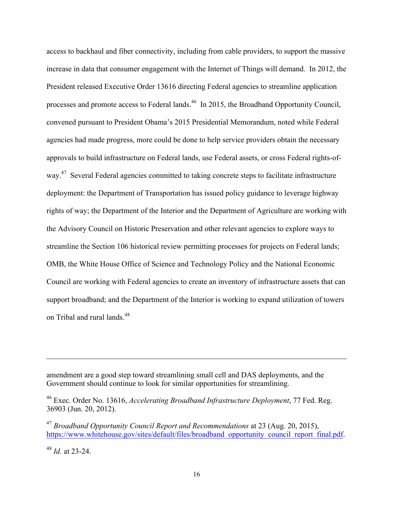access to backhaul and fiber connectivity, including from cable providers, to support the massive increase in data that consumer engagement with the Internet of Things will demand. In 2012, the President released Executive Order 13616 directing Federal agencies to streamline application processes and promote access to Federal lands.<sup>46</sup> In 2015, the Broadband Opportunity Council, convened pursuant to President Obama's 2015 Presidential Memorandum, noted while Federal agencies had made progress, more could be done to help service providers obtain the necessary approvals to build infrastructure on Federal lands, use Federal assets, or cross Federal rights-ofway.<sup>47</sup> Several Federal agencies committed to taking concrete steps to facilitate infrastructure deployment: the Department of Transportation has issued policy guidance to leverage highway rights of way; the Department of the Interior and the Department of Agriculture are working with the Advisory Council on Historic Preservation and other relevant agencies to explore ways to streamline the Section 106 historical review permitting processes for projects on Federal lands; OMB, the White House Office of Science and Technology Policy and the National Economic Council are working with Federal agencies to create an inventory of infrastructure assets that can support broadband; and the Department of the Interior is working to expand utilization of towers on Tribal and rural lands.<sup>48</sup>

amendment are a good step toward streamlining small cell and DAS deployments, and the Government should continue to look for similar opportunities for streamlining.

<sup>46</sup> Exec. Order No. 13616, *Accelerating Broadband Infrastructure Deployment*, 77 Fed. Reg. 36903 (Jun. 20, 2012).

<sup>47</sup> *Broadband Opportunity Council Report and Recommendations* at 23 (Aug. 20, 2015), https://www.whitehouse.gov/sites/default/files/broadband\_opportunity\_council\_report\_final.pdf.

<sup>48</sup> *Id.* at 23-24.

 $\overline{a}$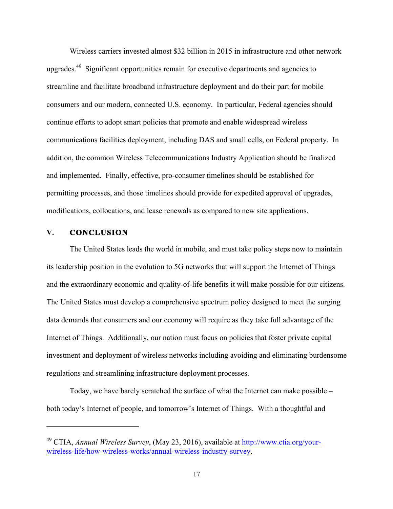Wireless carriers invested almost \$32 billion in 2015 in infrastructure and other network upgrades.<sup>49</sup> Significant opportunities remain for executive departments and agencies to streamline and facilitate broadband infrastructure deployment and do their part for mobile consumers and our modern, connected U.S. economy. In particular, Federal agencies should continue efforts to adopt smart policies that promote and enable widespread wireless communications facilities deployment, including DAS and small cells, on Federal property. In addition, the common Wireless Telecommunications Industry Application should be finalized and implemented. Finally, effective, pro-consumer timelines should be established for permitting processes, and those timelines should provide for expedited approval of upgrades, modifications, collocations, and lease renewals as compared to new site applications.

# **V. CONCLUSION**

l

The United States leads the world in mobile, and must take policy steps now to maintain its leadership position in the evolution to 5G networks that will support the Internet of Things and the extraordinary economic and quality-of-life benefits it will make possible for our citizens. The United States must develop a comprehensive spectrum policy designed to meet the surging data demands that consumers and our economy will require as they take full advantage of the Internet of Things. Additionally, our nation must focus on policies that foster private capital investment and deployment of wireless networks including avoiding and eliminating burdensome regulations and streamlining infrastructure deployment processes.

Today, we have barely scratched the surface of what the Internet can make possible – both today's Internet of people, and tomorrow's Internet of Things. With a thoughtful and

<sup>49</sup> CTIA, *Annual Wireless Survey*, (May 23, 2016), available at http://www.ctia.org/yourwireless-life/how-wireless-works/annual-wireless-industry-survey.